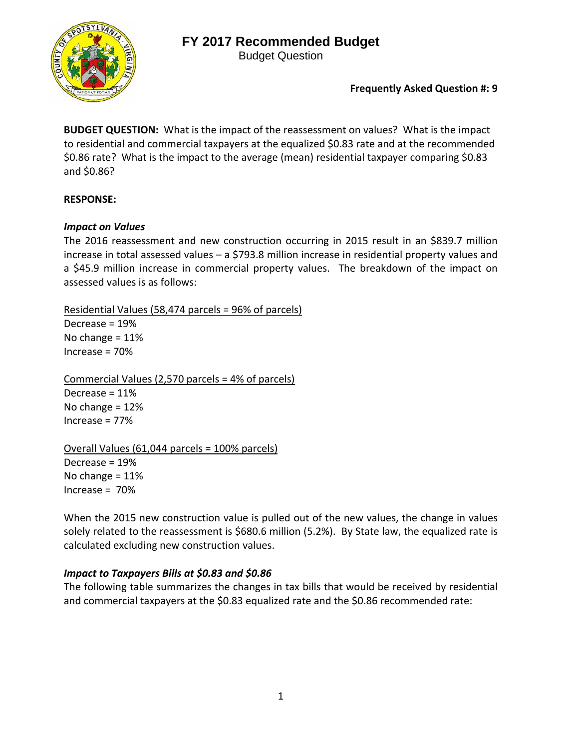## **FY 2017 Recommended Budget**



Budget Question

**Frequently Asked Question #: 9**

**BUDGET QUESTION:** What is the impact of the reassessment on values? What is the impact to residential and commercial taxpayers at the equalized \$0.83 rate and at the recommended \$0.86 rate? What is the impact to the average (mean) residential taxpayer comparing \$0.83 and \$0.86?

## **RESPONSE:**

### *Impact on Values*

The 2016 reassessment and new construction occurring in 2015 result in an \$839.7 million increase in total assessed values – a \$793.8 million increase in residential property values and a \$45.9 million increase in commercial property values. The breakdown of the impact on assessed values is as follows:

Residential Values (58,474 parcels = 96% of parcels)

Decrease = 19% No change = 11% Increase = 70%

Commercial Values (2,570 parcels = 4% of parcels) Decrease = 11% No change = 12% Increase = 77%

Overall Values (61,044 parcels = 100% parcels) Decrease = 19% No change  $= 11\%$  $Increase = 70%$ 

When the 2015 new construction value is pulled out of the new values, the change in values solely related to the reassessment is \$680.6 million (5.2%). By State law, the equalized rate is calculated excluding new construction values.

## *Impact to Taxpayers Bills at \$0.83 and \$0.86*

The following table summarizes the changes in tax bills that would be received by residential and commercial taxpayers at the \$0.83 equalized rate and the \$0.86 recommended rate: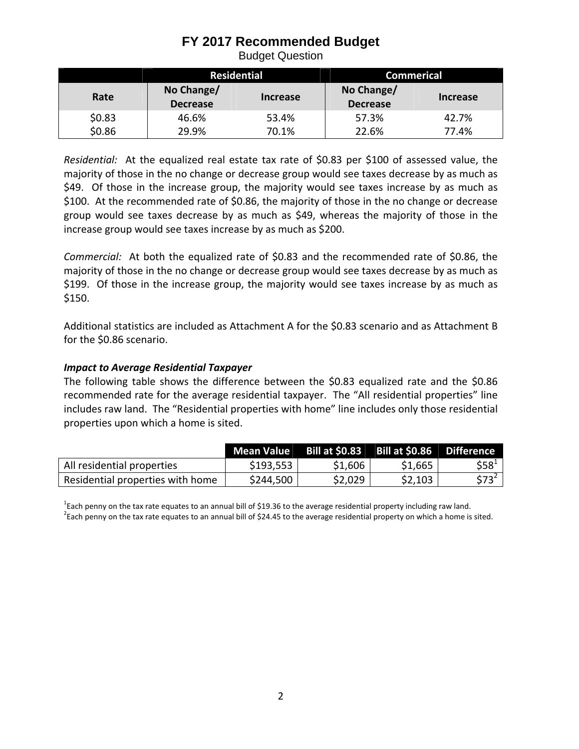## **FY 2017 Recommended Budget**

Budget Question

|        | <b>Residential</b>            |          | <b>Commerical</b>             |          |
|--------|-------------------------------|----------|-------------------------------|----------|
| Rate   | No Change/<br><b>Decrease</b> | Increase | No Change/<br><b>Decrease</b> | Increase |
| \$0.83 | 46.6%                         | 53.4%    | 57.3%                         | 42.7%    |
| \$0.86 | 29.9%                         | 70.1%    | 22.6%                         | 77.4%    |

Residential: At the equalized real estate tax rate of \$0.83 per \$100 of assessed value, the majority of those in the no change or decrease group would see taxes decrease by as much as \$49. Of those in the increase group, the majority would see taxes increase by as much as \$100. At the recommended rate of \$0.86, the majority of those in the no change or decrease group would see taxes decrease by as much as \$49, whereas the majority of those in the increase group would see taxes increase by as much as \$200.

*Commercial:* At both the equalized rate of \$0.83 and the recommended rate of \$0.86, the majority of those in the no change or decrease group would see taxes decrease by as much as \$199. Of those in the increase group, the majority would see taxes increase by as much as \$150.

Additional statistics are included as Attachment A for the \$0.83 scenario and as Attachment B for the \$0.86 scenario.

### *Impact to Average Residential Taxpayer*

The following table shows the difference between the \$0.83 equalized rate and the \$0.86 recommended rate for the average residential taxpayer. The "All residential properties" line includes raw land. The "Residential properties with home" line includes only those residential properties upon which a home is sited.

|                                  | Mean Value | <b>Bill at \$0.83</b> | Bill at \$0.86 Difference |           |
|----------------------------------|------------|-----------------------|---------------------------|-----------|
| All residential properties       | \$193,553  | \$1,606               | \$1,665                   | $$58^{1}$ |
| Residential properties with home | \$244,500  | \$2,029               | \$2,103                   | $$73^2$   |

<sup>1</sup>Each penny on the tax rate equates to an annual bill of \$19.36 to the average residential property including raw land.<br><sup>2</sup>Each penny on the tax rate equates to an annual bill of \$24.45 to the average residential proper Each penny on the tax rate equates to an annual bill of \$24.45 to the average residential property on which a home is sited.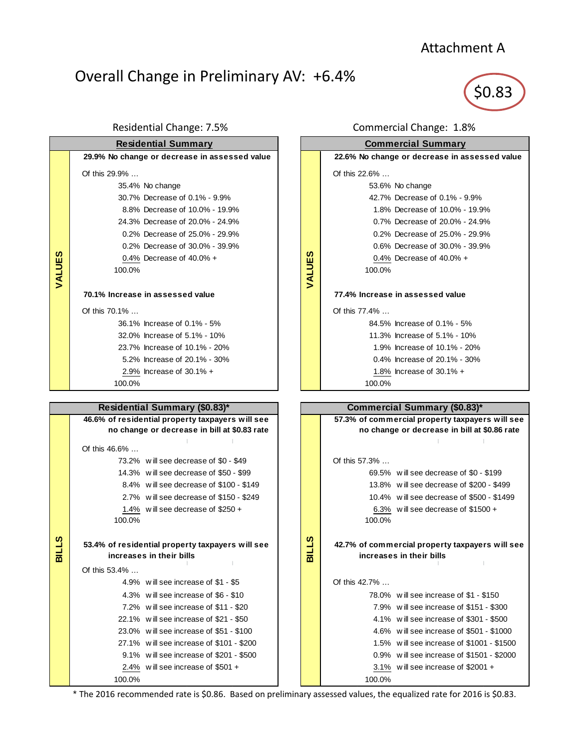# Attachment A

# Overall Change in Preliminary AV: +6.4%

\$0.83

| <b>Residential Summary</b> |                                               |  |  |
|----------------------------|-----------------------------------------------|--|--|
|                            | 29.9% No change or decrease in assessed value |  |  |
|                            | Of this $29.9\%$                              |  |  |
|                            | 35.4% No change                               |  |  |
|                            | 30.7% Decrease of 0.1% - 9.9%                 |  |  |
|                            | 8.8% Decrease of 10.0% - 19.9%                |  |  |
|                            | 24.3% Decrease of 20.0% - 24.9%               |  |  |
|                            | 0.2% Decrease of 25.0% - 29.9%                |  |  |
|                            | 0.2% Decrease of 30.0% - 39.9%                |  |  |
|                            | 0.4% Decrease of $40.0% +$                    |  |  |
| VALUES                     | 100.0%                                        |  |  |
|                            |                                               |  |  |
|                            | 70.1% Increase in assessed value              |  |  |
|                            | Of this $70.1\%$                              |  |  |
|                            | 36.1% Increase of 0.1% - 5%                   |  |  |
|                            | 32.0% Increase of 5.1% - 10%                  |  |  |
|                            | 23.7% Increase of 10.1% - 20%                 |  |  |
|                            | 5.2% Increase of 20.1% - 30%                  |  |  |
|                            | 2.9% Increase of 30.1% +                      |  |  |
|                            | 100.0%                                        |  |  |

## **Residential Summary (\$0.83)\***

|              | 46.6% of residential property taxpayers will see |                                                  |  |
|--------------|--------------------------------------------------|--------------------------------------------------|--|
|              | no change or decrease in bill at \$0.83 rate     |                                                  |  |
|              |                                                  |                                                  |  |
|              | Of this $46.6\%$                                 |                                                  |  |
|              |                                                  | 73.2% will see decrease of \$0 - \$49            |  |
|              |                                                  | 14.3% will see decrease of \$50 - \$99           |  |
|              |                                                  | 8.4% will see decrease of \$100 - \$149          |  |
|              |                                                  | 2.7% will see decrease of \$150 - \$249          |  |
|              |                                                  | 1.4% will see decrease of $$250 +$               |  |
|              | 100.0%                                           |                                                  |  |
|              |                                                  |                                                  |  |
| <b>BILLS</b> |                                                  | 53.4% of residential property taxpayers will see |  |
|              |                                                  | increases in their bills                         |  |
|              | Of this $53.4\%$                                 |                                                  |  |
|              |                                                  | 4.9% will see increase of \$1 - \$5              |  |
|              |                                                  | 4.3% will see increase of \$6 - \$10             |  |
|              |                                                  | 7.2% will see increase of \$11 - \$20            |  |
|              |                                                  | 22.1% will see increase of \$21 - \$50           |  |
|              |                                                  | 23.0% will see increase of \$51 - \$100          |  |
|              |                                                  | 27.1% will see increase of \$101 - \$200         |  |
|              |                                                  | 9.1% will see increase of \$201 - \$500          |  |
|              |                                                  | 2.4% will see increase of $$501 +$               |  |
|              | 100.0%                                           |                                                  |  |

### Residential Change: 7.5% Commercial Change: 1.8%



## **Commercial Summary (\$0.83)\* 57.3% of commercial property taxpayers will see no change or decrease in bill at \$0.86 rate**  $\mathbb T$  $\perp$  Of this 57.3% … 69.5% w ill see decrease of \$0 - \$199 13.8% w ill see decrease of \$200 - \$499 10.4% w ill see decrease of \$500 - \$1499 6.3% w ill see decrease of \$1500 + 100.0% **42.7% of commercial property taxpayers will see increases in their bills** Of this 42.7% … 78.0% w ill see increase of \$1 - \$150 7.9% w ill see increase of \$151 - \$300 4.1% w ill see increase of \$301 - \$500 4.6% w ill see increase of \$501 - \$1000 1.5% w ill see increase of \$1001 - \$1500 0.9% w ill see increase of \$1501 - \$2000 3.1% w ill see increase of \$2001 + 100.0%

\* The 2016 recommended rate is \$0.86. Based on preliminary assessed values, the equalized rate for 2016 is \$0.83.

**BILLS**